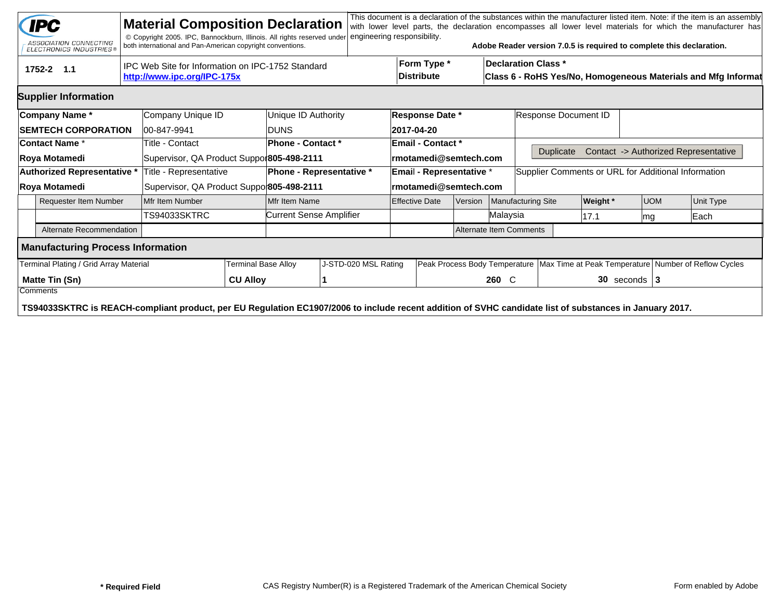|                                               | <b>IPC</b><br>ASSOCIATION CONNECTING<br>ELECTRONICS INDUSTRIES®                                                                                         |                                                                                  | <b>Material Composition Declaration</b><br>© Copyright 2005. IPC, Bannockburn, Illinois. All rights reserved under<br>both international and Pan-American copyright conventions. |                                |                                                                       | engineering responsibility.      |                                  |                                                   |                                                                                             |                    | Adobe Reader version 7.0.5 is required to complete this declaration. |                 |                                                                                        |  | This document is a declaration of the substances within the manufacturer listed item. Note: if the item is an assembly<br>with lower level parts, the declaration encompasses all lower level materials for which the manufacturer has |  |  |
|-----------------------------------------------|---------------------------------------------------------------------------------------------------------------------------------------------------------|----------------------------------------------------------------------------------|----------------------------------------------------------------------------------------------------------------------------------------------------------------------------------|--------------------------------|-----------------------------------------------------------------------|----------------------------------|----------------------------------|---------------------------------------------------|---------------------------------------------------------------------------------------------|--------------------|----------------------------------------------------------------------|-----------------|----------------------------------------------------------------------------------------|--|----------------------------------------------------------------------------------------------------------------------------------------------------------------------------------------------------------------------------------------|--|--|
|                                               | 1752-2 1.1                                                                                                                                              | IPC Web Site for Information on IPC-1752 Standard<br>http://www.ipc.org/IPC-175x |                                                                                                                                                                                  |                                |                                                                       | Form Type *<br><b>Distribute</b> |                                  |                                                   | <b>Declaration Class *</b><br>Class 6 - RoHS Yes/No, Homogeneous Materials and Mfg Informat |                    |                                                                      |                 |                                                                                        |  |                                                                                                                                                                                                                                        |  |  |
|                                               | <b>Supplier Information</b>                                                                                                                             |                                                                                  |                                                                                                                                                                                  |                                |                                                                       |                                  |                                  |                                                   |                                                                                             |                    |                                                                      |                 |                                                                                        |  |                                                                                                                                                                                                                                        |  |  |
|                                               | Company Name*                                                                                                                                           |                                                                                  | Company Unique ID                                                                                                                                                                |                                | Unique ID Authority                                                   |                                  |                                  | <b>Response Date *</b>                            |                                                                                             |                    | Response Document ID                                                 |                 |                                                                                        |  |                                                                                                                                                                                                                                        |  |  |
|                                               | <b>SEMTECH CORPORATION</b>                                                                                                                              |                                                                                  | 00-847-9941                                                                                                                                                                      |                                | <b>IDUNS</b>                                                          |                                  |                                  | 2017-04-20                                        |                                                                                             |                    |                                                                      |                 |                                                                                        |  |                                                                                                                                                                                                                                        |  |  |
|                                               | <b>Contact Name *</b><br>Roya Motamedi                                                                                                                  |                                                                                  | Title - Contact                                                                                                                                                                  |                                | <b>Phone - Contact *</b><br>Supervisor, QA Product Suppor805-498-2111 |                                  |                                  | <b>Email - Contact *</b><br>rmotamedi@semtech.com |                                                                                             |                    | Contact -> Authorized Representative<br><b>Duplicate</b>             |                 |                                                                                        |  |                                                                                                                                                                                                                                        |  |  |
|                                               | Authorized Representative *                                                                                                                             |                                                                                  | Title - Representative                                                                                                                                                           | Phone - Representative *       |                                                                       |                                  | Email - Representative *         |                                                   |                                                                                             |                    | Supplier Comments or URL for Additional Information                  |                 |                                                                                        |  |                                                                                                                                                                                                                                        |  |  |
| Roya Motamedi                                 |                                                                                                                                                         |                                                                                  | Supervisor, QA Product Suppo 805-498-2111                                                                                                                                        |                                |                                                                       |                                  |                                  | rmotamedi@semtech.com                             |                                                                                             |                    |                                                                      |                 |                                                                                        |  |                                                                                                                                                                                                                                        |  |  |
| <b>Requester Item Number</b>                  |                                                                                                                                                         |                                                                                  | Mfr Item Number                                                                                                                                                                  |                                | Mfr Item Name                                                         |                                  | <b>Effective Date</b><br>Version |                                                   |                                                                                             | Manufacturing Site |                                                                      | <b>Weight</b> * | <b>UOM</b>                                                                             |  | Unit Type                                                                                                                                                                                                                              |  |  |
|                                               |                                                                                                                                                         |                                                                                  | TS94033SKTRC                                                                                                                                                                     | <b>Current Sense Amplifier</b> |                                                                       |                                  |                                  |                                                   |                                                                                             | Malaysia           |                                                                      | 17.1            | mg                                                                                     |  | Each                                                                                                                                                                                                                                   |  |  |
|                                               | Alternate Recommendation                                                                                                                                |                                                                                  |                                                                                                                                                                                  |                                |                                                                       |                                  |                                  |                                                   | Alternate Item Comments                                                                     |                    |                                                                      |                 |                                                                                        |  |                                                                                                                                                                                                                                        |  |  |
|                                               | <b>Manufacturing Process Information</b>                                                                                                                |                                                                                  |                                                                                                                                                                                  |                                |                                                                       |                                  |                                  |                                                   |                                                                                             |                    |                                                                      |                 |                                                                                        |  |                                                                                                                                                                                                                                        |  |  |
|                                               | Terminal Plating / Grid Array Material                                                                                                                  |                                                                                  |                                                                                                                                                                                  | Terminal Base Alloy            |                                                                       | J-STD-020 MSL Rating             |                                  |                                                   |                                                                                             |                    |                                                                      |                 | Peak Process Body Temperature   Max Time at Peak Temperature   Number of Reflow Cycles |  |                                                                                                                                                                                                                                        |  |  |
| Matte Tin (Sn)<br><b>CU Alloy</b><br>Comments |                                                                                                                                                         |                                                                                  |                                                                                                                                                                                  |                                |                                                                       |                                  |                                  |                                                   |                                                                                             | 260 C              | $30$ seconds   3                                                     |                 |                                                                                        |  |                                                                                                                                                                                                                                        |  |  |
|                                               | TS94033SKTRC is REACH-compliant product, per EU Regulation EC1907/2006 to include recent addition of SVHC candidate list of substances in January 2017. |                                                                                  |                                                                                                                                                                                  |                                |                                                                       |                                  |                                  |                                                   |                                                                                             |                    |                                                                      |                 |                                                                                        |  |                                                                                                                                                                                                                                        |  |  |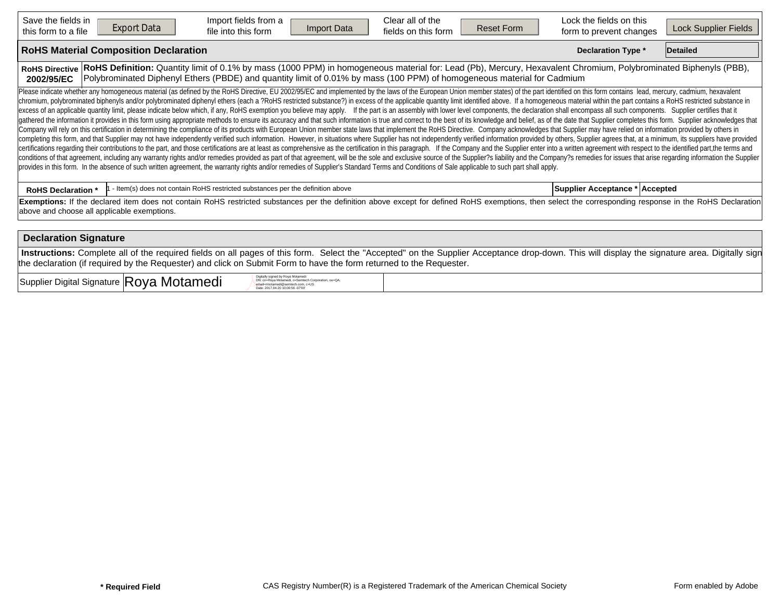| Save the fields in<br><b>Export Data</b><br>this form to a file | Import fields from a<br>Import Data<br>file into this form                                                                                                                                                                                                                                                                                                                                                                                                                                                                                                                                                                                                                                                                                                                                                                                                                                                                                                                                                                                                                                                                                                                                                                                                                                                                                                                                                                                                                                                                                                                                                                                                                                                                                                                                                                                                                                                                                                                                                                                                                  | Clear all of the<br>fields on this form | <b>Reset Form</b> | Lock the fields on this<br>form to prevent changes | Lock Supplier Fields |
|-----------------------------------------------------------------|-----------------------------------------------------------------------------------------------------------------------------------------------------------------------------------------------------------------------------------------------------------------------------------------------------------------------------------------------------------------------------------------------------------------------------------------------------------------------------------------------------------------------------------------------------------------------------------------------------------------------------------------------------------------------------------------------------------------------------------------------------------------------------------------------------------------------------------------------------------------------------------------------------------------------------------------------------------------------------------------------------------------------------------------------------------------------------------------------------------------------------------------------------------------------------------------------------------------------------------------------------------------------------------------------------------------------------------------------------------------------------------------------------------------------------------------------------------------------------------------------------------------------------------------------------------------------------------------------------------------------------------------------------------------------------------------------------------------------------------------------------------------------------------------------------------------------------------------------------------------------------------------------------------------------------------------------------------------------------------------------------------------------------------------------------------------------------|-----------------------------------------|-------------------|----------------------------------------------------|----------------------|
| <b>RoHS Material Composition Declaration</b>                    |                                                                                                                                                                                                                                                                                                                                                                                                                                                                                                                                                                                                                                                                                                                                                                                                                                                                                                                                                                                                                                                                                                                                                                                                                                                                                                                                                                                                                                                                                                                                                                                                                                                                                                                                                                                                                                                                                                                                                                                                                                                                             |                                         |                   | <b>Declaration Type *</b>                          | Detailed             |
| <b>RoHS Directive</b><br>2002/95/EC                             | RoHS Definition: Quantity limit of 0.1% by mass (1000 PPM) in homogeneous material for: Lead (Pb), Mercury, Hexavalent Chromium, Polybrominated Biphenyls (PBB),<br>Polybrominated Diphenyl Ethers (PBDE) and quantity limit of 0.01% by mass (100 PPM) of homogeneous material for Cadmium                                                                                                                                                                                                                                                                                                                                                                                                                                                                                                                                                                                                                                                                                                                                                                                                                                                                                                                                                                                                                                                                                                                                                                                                                                                                                                                                                                                                                                                                                                                                                                                                                                                                                                                                                                                 |                                         |                   |                                                    |                      |
|                                                                 | Please indicate whether any homogeneous material (as defined by the RoHS Directive, EU 2002/95/EC and implemented by the laws of the European Union member states) of the part identified on this form contains lead, mercury,<br>chromium, polybrominated biphenyls and/or polybrominated diphenyl ethers (each a ?RoHS restricted substance?) in excess of the applicable quantity limit identified above. If a homogeneous material within the part contains<br>excess of an applicable quantity limit, please indicate below which, if any, RoHS exemption you believe may apply. If the part is an assembly with lower level components, the declaration shall encompass all such components<br>gathered the information it provides in this form using appropriate methods to ensure its accuracy and that such information is true and correct to the best of its knowledge and belief, as of the date that Supplier complet<br>Company will rely on this certification in determining the compliance of its products with European Union member state laws that implement the RoHS Directive. Company acknowledges that Supplier may have relied on informati<br>completing this form, and that Supplier may not have independently verified such information. However, in situations where Supplier has not independently verified information provided by others, Supplier agrees that, at a<br>certifications regarding their contributions to the part, and those certifications are at least as comprehensive as the certification in this paragraph. If the Company and the Supplier enter into a written agreement with r<br>conditions of that agreement, including any warranty rights and/or remedies provided as part of that agreement, will be the sole and exclusive source of the Supplier?s liability and the Company?s remedies for issues that a<br>provides in this form. In the absence of such written agreement, the warranty rights and/or remedies of Supplier's Standard Terms and Conditions of Sale applicable to such part shall apply. |                                         |                   |                                                    |                      |
| <b>RoHS Declaration *</b>                                       | - Item(s) does not contain RoHS restricted substances per the definition above                                                                                                                                                                                                                                                                                                                                                                                                                                                                                                                                                                                                                                                                                                                                                                                                                                                                                                                                                                                                                                                                                                                                                                                                                                                                                                                                                                                                                                                                                                                                                                                                                                                                                                                                                                                                                                                                                                                                                                                              |                                         |                   | Supplier Acceptance * Accepted                     |                      |
| above and choose all applicable exemptions.                     | Exemptions: If the declared item does not contain RoHS restricted substances per the definition above except for defined RoHS exemptions, then select the corresponding response in the RoHS Declaration                                                                                                                                                                                                                                                                                                                                                                                                                                                                                                                                                                                                                                                                                                                                                                                                                                                                                                                                                                                                                                                                                                                                                                                                                                                                                                                                                                                                                                                                                                                                                                                                                                                                                                                                                                                                                                                                    |                                         |                   |                                                    |                      |
| <b>Declaration Signature</b>                                    |                                                                                                                                                                                                                                                                                                                                                                                                                                                                                                                                                                                                                                                                                                                                                                                                                                                                                                                                                                                                                                                                                                                                                                                                                                                                                                                                                                                                                                                                                                                                                                                                                                                                                                                                                                                                                                                                                                                                                                                                                                                                             |                                         |                   |                                                    |                      |
|                                                                 | Instructions: Complete all of the required fields on all pages of this form. Select the "Accepted" on the Supplier Acceptance drop-down. This will display the signature area. Digitally sign                                                                                                                                                                                                                                                                                                                                                                                                                                                                                                                                                                                                                                                                                                                                                                                                                                                                                                                                                                                                                                                                                                                                                                                                                                                                                                                                                                                                                                                                                                                                                                                                                                                                                                                                                                                                                                                                               |                                         |                   |                                                    |                      |

 $Supplier$  Digital Signature  $|{\sf Roya}$  Motamedi Digital Digital Signature  $\mathbb{R}$ 

DN: cn=Roya Motamedi, o=Semtech Corporation, ou=QA, email=rmotamedi@semtech.com, c=US Date: 2017.04.20 10:00:56 -07'00'

the declaration (if required by the Requester) and click on Submit Form to have the form returned to the Requester.